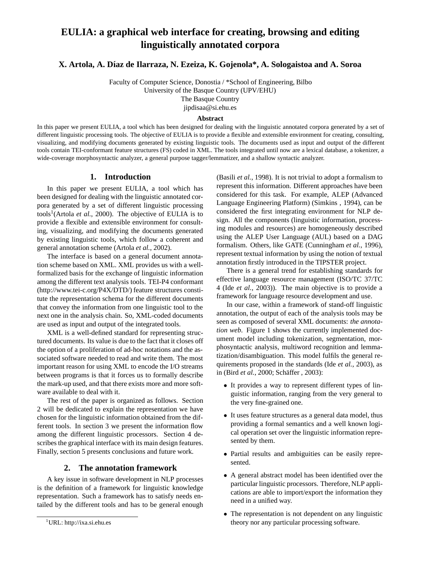# **EULIA: a graphical web interface for creating, browsing and editing linguistically annotated corpora**

**X. Artola, A. Díaz de Ilarraza, N. Ezeiza, K. Gojenola\*, A. Sologaistoa and A. Soroa** 

Faculty of Computer Science, Donostia / \*School of Engineering, Bilbo University of the Basque Country (UPV/EHU) The Basque Country jipdisaa@si.ehu.es

#### **Abstract**

In this paper we present EULIA, a tool which has been designed for dealing with the linguistic annotated corpora generated by a set of different linguistic processing tools. The objective of EULIA is to provide a flexible and extensible environment for creating, consulting, visualizing, and modifying documents generated by existing linguistic tools. The documents used as input and output of the different tools contain TEI-conformant feature structures (FS) coded in XML. The tools integrated until now are a lexical database, a tokenizer, a wide-coverage morphosyntactic analyzer, a general purpose tagger/lemmatizer, and a shallow syntactic analyzer.

### **1. Introduction**

In this paper we present EULIA, a tool which has been designed for dealing with the linguistic annotated corpora generated by a set of different linguistic processing tools<sup>1</sup>(Artola *et al.*, 2000). The objective of EULIA is to provide a flexible and extensible environment for consulting, visualizing, and modifying the documents generated by existing linguistic tools, which follow a coherent and general annotation scheme (Artola *et al.*, 2002).

The interface is based on a general document annotation scheme based on XML. XML provides us with a wellformalized basis for the exchange of linguistic information among the different text analysis tools. TEI-P4 conformant (http://www.tei-c.org/P4X/DTD/) feature structures constitute the representation schema for the different documents that convey the information from one linguistic tool to the next one in the analysis chain. So, XML-coded documents are used as input and output of the integrated tools.

XML is a well-defined standard for representing structured documents. Its value is due to the fact that it closes off the option of a proliferation of ad-hoc notations and the associated software needed to read and write them. The most important reason for using XML to encode the I/O streams between programs is that it forces us to formally describe the mark-up used, and that there exists more and more software available to deal with it.

The rest of the paper is organized as follows. Section 2 will be dedicated to explain the representation we have chosen for the linguistic information obtained from the different tools. In section 3 we present the information flow among the different linguistic processors. Section 4 describes the graphical interface with its main design features. Finally, section 5 presents conclusions and future work.

#### **2. The annotation framework**

A key issue in software development in NLP processes is the definition of a framework for linguistic knowledge representation. Such a framework has to satisfy needs entailed by the different tools and has to be general enough

(Basili *et al.*, 1998). It is not trivial to adopt a formalism to represent this information. Different approaches have been considered for this task. For example, ALEP (Advanced Language Engineering Platform) (Simkins , 1994), can be considered the first integrating environment for NLP design. All the components (linguistic information, processing modules and resources) are homogeneously described using the ALEP User Language (AUL) based on a DAG formalism. Others, like GATE (Cunningham *et al.*, 1996), represent textual information by using the notion of textual annotation firstly introduced in the TIPSTER project.

There is a general trend for establishing standards for effective language resource management (ISO/TC 37/TC 4 (Ide *et al.*, 2003)). The main objective is to provide a framework for language resource development and use.

In our case, within a framework of stand-off linguistic annotation, the output of each of the analysis tools may be seen as composed of several XML documents: *the annotation web*. Figure 1 shows the currently implemented document model including tokenization, segmentation, morphosyntactic analysis, multiword recognition and lemmatization/disambiguation. This model fulfils the general requirements proposed in the standards (Ide *et al.*, 2003), as in (Bird *et al.*, 2000; Schäffer, 2003):

- *•* It provides a way to represent different types of linguistic information, ranging from the very general to the very fine-grained one.
- It uses feature structures as a general data model, thus providing a formal semantics and a well known logical operation set over the linguistic information represented by them.
- Partial results and ambiguities can be easily represented.
- *•* A general abstract model has been identified over the particular linguistic processors. Therefore, NLP applications are able to import/export the information they need in a unified way.
- *•* The representation is not dependent on any linguistic theory nor any particular processing software.

<sup>1</sup> URL: http://ixa.si.ehu.es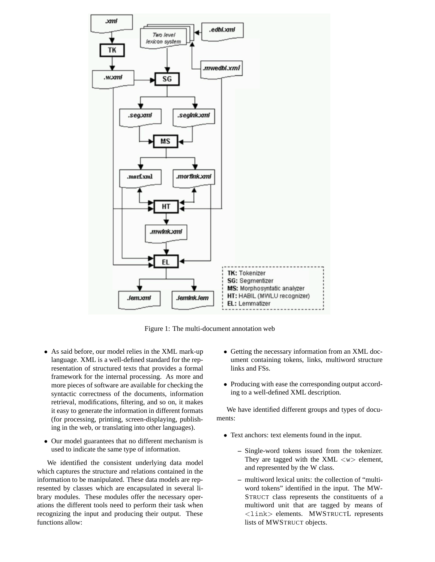

Figure 1: The multi-document annotation web

- *•* As said before, our model relies in the XML mark-up language. XML is a well-defined standard for the representation of structured texts that provides a formal framework for the internal processing. As more and more pieces of software are available for checking the syntactic correctness of the documents, information retrieval, modifications, filtering, and so on, it makes it easy to generate the information in different formats (for processing, printing, screen-displaying, publishing in the web, or translating into other languages).
- *•* Our model guarantees that no different mechanism is used to indicate the same type of information.

We identified the consistent underlying data model which captures the structure and relations contained in the information to be manipulated. These data models are represented by classes which are encapsulated in several library modules. These modules offer the necessary operations the different tools need to perform their task when recognizing the input and producing their output. These functions allow:

- *•* Getting the necessary information from an XML document containing tokens, links, multiword structure links and FSs.
- *•* Producing with ease the corresponding output according to a well-defined XML description.

We have identified different groups and types of documents:

- *•* Text anchors: text elements found in the input.
	- **–** Single-word tokens issued from the tokenizer. They are tagged with the XML *<*w*>* element, and represented by the W class.
	- **–** multiword lexical units: the collection of "multiword tokens" identified in the input. The MW-STRUCT class represents the constituents of a multiword unit that are tagged by means of *<*link*>* elements. MWSTRUCTL represents lists of MWSTRUCT objects.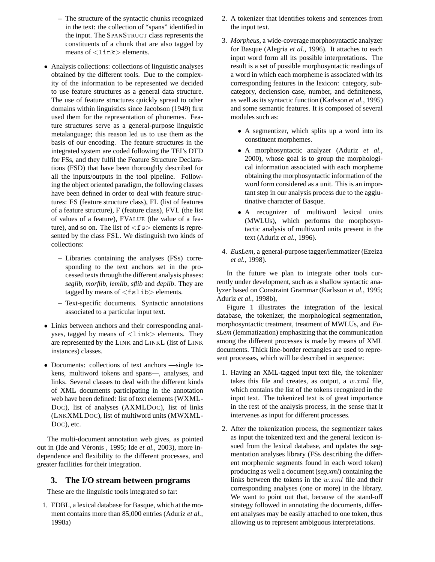- **–** The structure of the syntactic chunks recognized in the text: the collection of "spans" identified in the input. The SPANSTRUCT class represents the constituents of a chunk that are also tagged by means of *<*link*>* elements.
- *•* Analysis collections: collections of linguistic analyses obtained by the different tools. Due to the complexity of the information to be represented we decided to use feature structures as a general data structure. The use of feature structures quickly spread to other domains within linguistics since Jacobson (1949) first used them for the representation of phonemes. Feature structures serve as a general-purpose linguistic metalanguage; this reason led us to use them as the basis of our encoding. The feature structures in the integrated system are coded following the TEI's DTD for FSs, and they fulfil the Feature Structure Declarations (FSD) that have been thoroughly described for all the inputs/outputs in the tool pipeline. Following the object oriented paradigm, the following classes have been defined in order to deal with feature structures: FS (feature structure class), FL (list of features of a feature structure), F (feature class), FVL (the list of values of a feature), FVALUE (the value of a feature), and so on. The list of *<*fs*>* elements is represented by the class FSL. We distinguish two kinds of collections:
	- **–** Libraries containing the analyses (FSs) corresponding to the text anchors set in the processed texts through the different analysis phases: *seglib, morflib, lemlib, sflib* and *deplib*. They are tagged by means of *<*fslib*>* elements.
	- **–** Text-specific documents. Syntactic annotations associated to a particular input text.
- *•* Links between anchors and their corresponding analyses, tagged by means of *<*link*>* elements. They are represented by the LINK and LINKL (list of LINK instances) classes.
- Documents: collections of text anchors —single tokens, multiword tokens and spans—, analyses, and links. Several classes to deal with the different kinds of XML documents participating in the annotation web have been defined: list of text elements (WXML-DOC), list of analyses (AXMLDOC), list of links (LNKXMLDOC), list of multiword units (MWXML-DOC), etc.

The multi-document annotation web gives, as pointed out in (Ide and Véronis, 1995; Ide *et al.*, 2003), more independence and flexibility to the different processes, and greater facilities for their integration.

## **3. The I/O stream between programs**

These are the linguistic tools integrated so far:

1. EDBL, a lexical database for Basque, which at the moment contains more than 85,000 entries (Aduriz *et al.*, 1998a)

- 2. A tokenizer that identifies tokens and sentences from the input text.
- 3. *Morpheus*, a wide-coverage morphosyntactic analyzer for Basque (Alegria *et al.*, 1996). It attaches to each input word form all its possible interpretations. The result is a set of possible morphosyntactic readings of a word in which each morpheme is associated with its corresponding features in the lexicon: category, subcategory, declension case, number, and definiteness, as well as its syntactic function (Karlsson *et al.*, 1995) and some semantic features. It is composed of several modules such as:
	- A segmentizer, which splits up a word into its constituent morphemes.
	- *•* A morphosyntactic analyzer (Aduriz *et al.*, 2000), whose goal is to group the morphological information associated with each morpheme obtaining the morphosyntactic information of the word form considered as a unit. This is an important step in our analysis process due to the agglutinative character of Basque.
	- A recognizer of multiword lexical units (MWLUs), which performs the morphosyntactic analysis of multiword units present in the text (Aduriz *et al.*, 1996).
- 4. *EusLem*, a general-purpose tagger/lemmatizer (Ezeiza *et al.*, 1998).

In the future we plan to integrate other tools currently under development, such as a shallow syntactic analyzer based on Constraint Grammar (Karlsson *et al.*, 1995; Aduriz *et al.*, 1998b),

Figure 1 illustrates the integration of the lexical database, the tokenizer, the morphological segmentation, morphosyntactic treatment, treatment of MWLUs, and *EusLem* (lemmatization) emphasizing that the communication among the different processes is made by means of XML documents. Thick line-border rectangles are used to represent processes, which will be described in sequence:

- 1. Having an XML-tagged input text file, the tokenizer takes this file and creates, as output, a *w.xml* file, which contains the list of the tokens recognized in the input text. The tokenized text is of great importance in the rest of the analysis process, in the sense that it intervenes as input for different processes.
- 2. After the tokenization process, the segmentizer takes as input the tokenized text and the general lexicon issued from the lexical database, and updates the segmentation analyses library (FSs describing the different morphemic segments found in each word token) producing as well a document (*seg.xml*) containing the links between the tokens in the *w.xml* file and their corresponding analyses (one or more) in the library. We want to point out that, because of the stand-off strategy followed in annotating the documents, different analyses may be easily attached to one token, thus allowing us to represent ambiguous interpretations.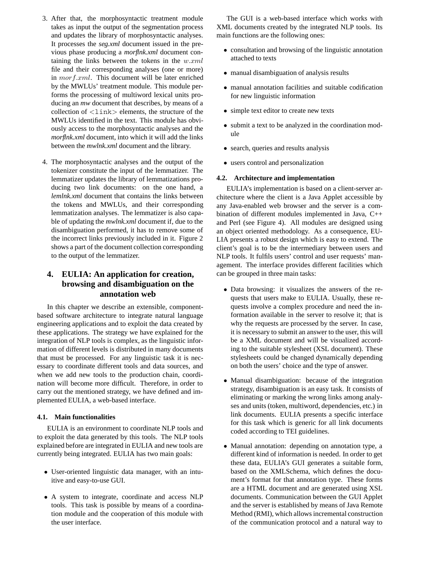- 3. After that, the morphosyntactic treatment module takes as input the output of the segmentation process and updates the library of morphosyntactic analyses. It processes the *seg.xml* document issued in the previous phase producing a *morflnk.xml* document containing the links between the tokens in the *w.xml* file and their corresponding analyses (one or more) in *morf.xml*. This document will be later enriched by the MWLUs' treatment module. This module performs the processing of multiword lexical units producing an *mw* document that describes, by means of a collection of *<*link*>* elements, the structure of the MWLUs identified in the text. This module has obviously access to the morphosyntactic analyses and the *morflnk.xml* document, into which it will add the links between the *mwlnk.xml* document and the library.
- 4. The morphosyntactic analyses and the output of the tokenizer constitute the input of the lemmatizer. The lemmatizer updates the library of lemmatizations producing two link documents: on the one hand, a *lemlnk.xml* document that contains the links between the tokens and MWLUs, and their corresponding lemmatization analyses. The lemmatizer is also capable of updating the *mwlnk.xml* document if, due to the disambiguation performed, it has to remove some of the incorrect links previously included in it. Figure 2 shows a part of the document collection corresponding to the output of the lemmatizer.

# **4. EULIA: An application for creation, browsing and disambiguation on the annotation web**

In this chapter we describe an extensible, componentbased software architecture to integrate natural language engineering applications and to exploit the data created by these applications. The strategy we have explained for the integration of NLP tools is complex, as the linguistic information of different levels is distributed in many documents that must be processed. For any linguistic task it is necessary to coordinate different tools and data sources, and when we add new tools to the production chain, coordination will become more difficult. Therefore, in order to carry out the mentioned strategy, we have defined and implemented EULIA, a web-based interface.

#### **4.1. Main functionalities**

EULIA is an environment to coordinate NLP tools and to exploit the data generated by this tools. The NLP tools explained before are integrated in EULIA and new tools are currently being integrated. EULIA has two main goals:

- *•* User-oriented linguistic data manager, with an intuitive and easy-to-use GUI.
- *•* A system to integrate, coordinate and access NLP tools. This task is possible by means of a coordination module and the cooperation of this module with the user interface.

The GUI is a web-based interface which works with XML documents created by the integrated NLP tools. Its main functions are the following ones:

- *•* consultation and browsing of the linguistic annotation attached to texts
- *•* manual disambiguation of analysis results
- *•* manual annotation facilities and suitable codification for new linguistic information
- simple text editor to create new texts
- submit a text to be analyzed in the coordination module
- *•* search, queries and results analysis
- *•* users control and personalization

#### **4.2. Architecture and implementation**

EULIA's implementation is based on a client-server architecture where the client is a Java Applet accessible by any Java-enabled web browser and the server is a combination of different modules implemented in Java, C++ and Perl (see Figure 4). All modules are designed using an object oriented methodology. As a consequence, EU-LIA presents a robust design which is easy to extend. The client's goal is to be the intermediary between users and NLP tools. It fulfils users' control and user requests' management. The interface provides different facilities which can be grouped in three main tasks:

- *•* Data browsing: it visualizes the answers of the requests that users make to EULIA. Usually, these requests involve a complex procedure and need the information available in the server to resolve it; that is why the requests are processed by the server. In case, it is necessary to submit an answer to the user, this will be a XML document and will be visualized according to the suitable stylesheet (XSL document). These stylesheets could be changed dynamically depending on both the users' choice and the type of answer.
- *•* Manual disambiguation: because of the integration strategy, disambiguation is an easy task. It consists of eliminating or marking the wrong links among analyses and units (token, multiword, dependencies, etc.) in link documents. EULIA presents a specific interface for this task which is generic for all link documents coded according to TEI guidelines.
- *•* Manual annotation: depending on annotation type, a different kind of information is needed. In order to get these data, EULIA's GUI generates a suitable form, based on the XMLSchema, which defines the document's format for that annotation type. These forms are a HTML document and are generated using XSL documents. Communication between the GUI Applet and the server is established by means of Java Remote Method (RMI), which allows incremental construction of the communication protocol and a natural way to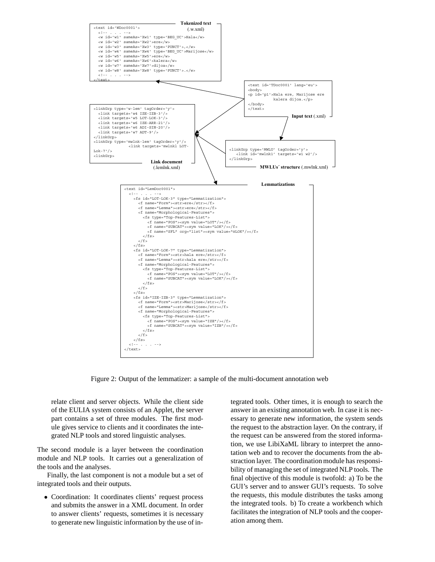

Figure 2: Output of the lemmatizer: a sample of the multi-document annotation web

relate client and server objects. While the client side of the EULIA system consists of an Applet, the server part contains a set of three modules. The first module gives service to clients and it coordinates the integrated NLP tools and stored linguistic analyses.

The second module is a layer between the coordination module and NLP tools. It carries out a generalization of the tools and the analyses.

Finally, the last component is not a module but a set of integrated tools and their outputs.

• Coordination: It coordinates clients' request process and submits the answer in a XML document. In order to answer clients' requests, sometimes it is necessary to generate new linguistic information by the use of integrated tools. Other times, it is enough to search the answer in an existing annotation web. In case it is necessary to generate new information, the system sends the request to the abstraction layer. On the contrary, if the request can be answered from the stored information, we use LibiXaML library to interpret the annotation web and to recover the documents from the abstraction layer. The coordination module has responsibility of managing the set of integrated NLP tools. The final objective of this module is twofold: a) To be the GUI's server and to answer GUI's requests. To solve the requests, this module distributes the tasks among the integrated tools. b) To create a workbench which facilitates the integration of NLP tools and the cooperation among them.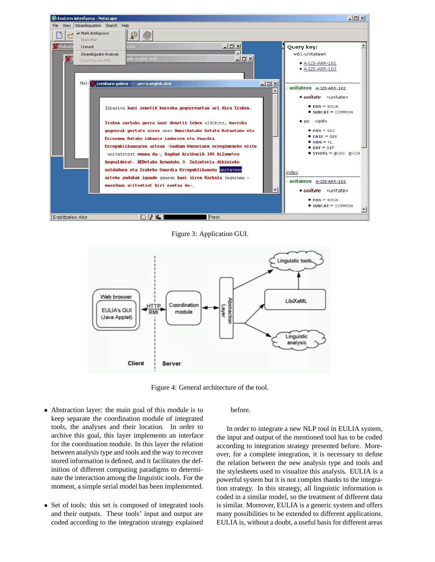

Figure 3: Application GUI.



Figure 4: General architecture of the tool.

- *•* Abstraction layer: the main goal of this module is to keep separate the coordination module of integrated tools, the analyses and their location. In order to archive this goal, this layer implements an interface for the coordination module. In this layer the relation between analysis type and tools and the way to recover stored information is defined, and it facilitates the definition of different computing paradigms to determinate the interaction among the linguistic tools. For the moment, a simple serial model has been implemented.
- Set of tools: this set is composed of integrated tools and their outputs. These tools' input and output are coded according to the integration strategy explained

before.

In order to integrate a new NLP tool in EULIA system, the input and output of the mentioned tool has to be coded according to integration strategy presented before. Moreover, for a complete integration, it is necessary to define the relation between the new analysis type and tools and the stylesheets used to visualize this analysis. EULIA is a powerful system but it is not complex thanks to the integration strategy. In this strategy, all linguistic information is coded in a similar model, so the treatment of different data is similar. Moreover, EULIA is a generic system and offers many possibilities to be extended to different applications. EULIA is, without a doubt, a useful basis for different areas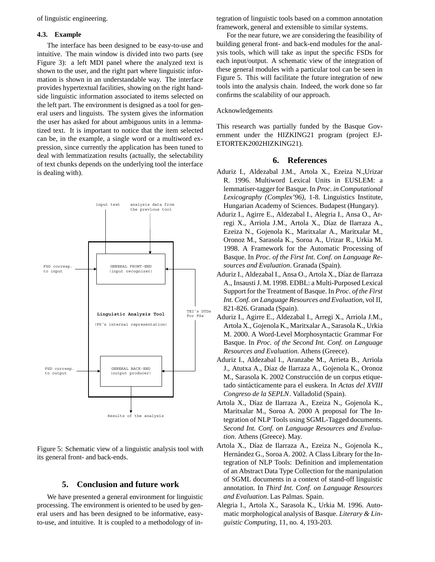of linguistic engineering.

#### **4.3. Example**

The interface has been designed to be easy-to-use and intuitive. The main window is divided into two parts (see Figure 3): a left MDI panel where the analyzed text is shown to the user, and the right part where linguistic information is shown in an understandable way. The interface provides hypertextual facilities, showing on the right handside linguistic information associated to items selected on the left part. The environment is designed as a tool for general users and linguists. The system gives the information the user has asked for about ambiguous units in a lemmatized text. It is important to notice that the item selected can be, in the example, a single word or a multiword expression, since currently the application has been tuned to deal with lemmatization results (actually, the selectability of text chunks depends on the underlying tool the interface is dealing with).



Figure 5: Schematic view of a linguistic analysis tool with its general front- and back-ends.

# **5. Conclusion and future work**

We have presented a general environment for linguistic processing. The environment is oriented to be used by general users and has been designed to be informative, easyto-use, and intuitive. It is coupled to a methodology of in-

tegration of linguistic tools based on a common annotation framework, general and extensible to similar systems.

For the near future, we are considering the feasibility of building general front- and back-end modules for the analysis tools, which will take as input the specific FSDs for each input/output. A schematic view of the integration of these general modules with a particular tool can be seen in Figure 5. This will facilitate the future integration of new tools into the analysis chain. Indeed, the work done so far confirms the scalability of our approach.

#### Acknowledgements

This research was partially funded by the Basque Government under the HIZKING21 program (project EJ-ETORTEK2002HIZKING21).

#### **6. References**

- Aduriz I., Aldezabal J.M., Artola X., Ezeiza N.,Urizar R. 1996. Multiword Lexical Units in EUSLEM: a lemmatiser-tagger for Basque. In *Proc. in Computational Lexicography (Complex'96)*, 1-8. Linguistics Institute, Hungarian Academy of Sciences. Budapest (Hungary).
- Aduriz I., Agirre E., Aldezabal I., Alegria I., Ansa O., Arregi X., Arriola J.M., Artola X., Díaz de Ilarraza A., Ezeiza N., Gojenola K., Maritxalar A., Maritxalar M., Oronoz M., Sarasola K., Soroa A., Urizar R., Urkia M. 1998. A Framework for the Automatic Processing of Basque. In *Proc. of the First Int. Conf. on Language Resources and Evaluation*. Granada (Spain).
- Aduriz I., Aldezabal I., Ansa O., Artola X., Díaz de Ilarraza A., Insausti J. M. 1998. EDBL: a Multi-Purposed Lexical Support for the Treatment of Basque. In *Proc. of the First Int. Conf. on Language Resources and Evaluation*, vol II, 821-826. Granada (Spain).
- Aduriz I., Agirre E., Aldezabal I., Arregi X., Arriola J.M., Artola X., Gojenola K., Maritxalar A., Sarasola K., Urkia M. 2000. A Word-Level Morphosyntactic Grammar For Basque. In *Proc. of the Second Int. Conf. on Language Resources and Evaluation*. Athens (Greece).
- Aduriz I., Aldezabal I., Aranzabe M., Arrieta B., Arriola J., Atutxa A., Díaz de Ilarraza A., Gojenola K., Oronoz M., Sarasola K. 2002 Construcción de un corpus etiquetado sintácticamente para el euskera. In *Actas del XVIII Congreso de la SEPLN*. Valladolid (Spain).
- Artola X., Díaz de Ilarraza A., Ezeiza N., Gojenola K., Maritxalar M., Soroa A. 2000 A proposal for The Integration of NLP Tools using SGML-Tagged documents. *Second Int. Conf. on Language Resources and Evaluation*. Athens (Greece). May.
- Artola X., Díaz de Ilarraza A., Ezeiza N., Gojenola K., Hernández G., Soroa A. 2002. A Class Library for the Integration of NLP Tools: Definition and implementation of an Abstract Data Type Collection for the manipulation of SGML documents in a context of stand-off linguistic annotation. In *Third Int. Conf. on Language Resources and Evaluation*. Las Palmas. Spain.
- Alegria I., Artola X., Sarasola K., Urkia M. 1996. Automatic morphological analysis of Basque. *Literary & Linguistic Computing*, 11, no. 4, 193-203.